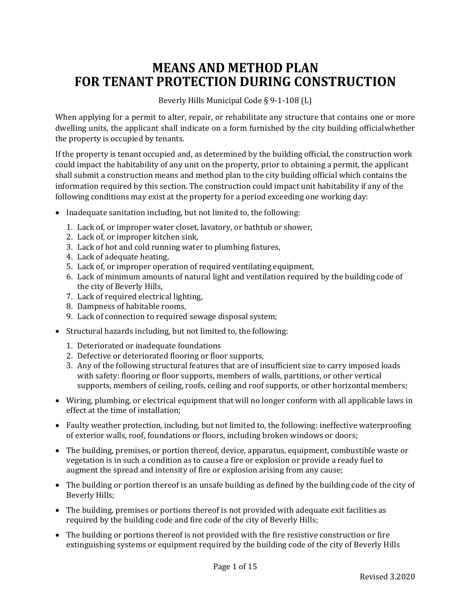## **MEANS AND METHOD PLAN FOR TENANT PROTECTION DURING CONSTRUCTION**

Beverly Hills Municipal Code § 9-1-108 (L)

When applying for a permit to alter, repair, or rehabilitate any structure that contains one or more dwelling units, the applicant shall indicate on a form furnished by the city building official whether the property is occupied by tenants.

If the property is tenant occupied and, as determined by the building official, the construction work could impact the habitability of any unit on the property, prior to obtaining a permit, the applicant shall submit a construction means and method plan to the city building official which contains the information required by this section. The construction could impact unit habitability if any of the following conditions may exist at the property for a period exceeding one working day:

- Inadequate sanitation including, but not limited to, the following:
	- 1. Lack of, or improper water closet, lavatory, or bathtub or shower,
	- 2. Lack of, or improper kitchen sink,
	- 3. Lack of hot and cold running water to plumbing fixtures,
	- 4. Lack of adequate heating,
	- 5. Lack of, or improper operation of required ventilating equipment,
	- 6. Lack of minimum amounts of natural light and ventilation required by the building code of the city of Beverly Hills,
	- 7. Lack of required electrical lighting,
	- 8. Dampness of habitable rooms,
	- 9. Lack of connection to required sewage disposal system;
- Structural hazards including, but not limited to, the following:
	- 1. Deteriorated or inadequate foundations
	- 2. Defective or deteriorated flooring or floor supports,
	- 3. Any of the following structural features that are of insufficient size to carry imposed loads with safety: flooring or floor supports, members of walls, partitions, or other vertical supports, members of ceiling, roofs, ceiling and roof supports, or other horizontal members;
- Wiring, plumbing, or electrical equipment that will no longer conform with all applicable laws in effect at the time of installation;
- Faulty weather protection, including, but not limited to, the following: ineffective waterproofing of exterior walls, roof, foundations or floors, including broken windows or doors;
- The building, premises, or portion thereof, device, apparatus, equipment, combustible waste or vegetation is in such a condition as to cause a fire or explosion or provide a ready fuel to augment the spread and intensity of fire or explosion arising from any cause;
- The building or portion thereof is an unsafe building as defined by the building code of the city of Beverly Hills;
- The building, premises or portions thereof is not provided with adequate exit facilities as required by the building code and fire code of the city of Beverly Hills;
- The building or portions thereof is not provided with the fire resistive construction or fire extinguishing systems or equipment required by the building code of the city of Beverly Hills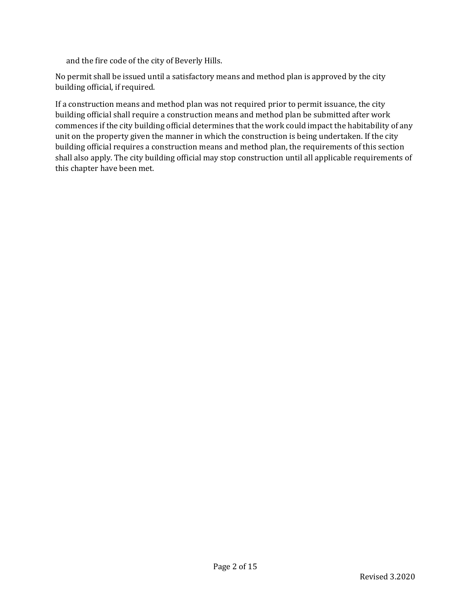and the fire code of the city of Beverly Hills.

No permit shall be issued until a satisfactory means and method plan is approved by the city building official, if required.

If a construction means and method plan was not required prior to permit issuance, the city building official shall require a construction means and method plan be submitted after work commences if the city building official determines that the work could impact the habitability of any unit on the property given the manner in which the construction is being undertaken. If the city building official requires a construction means and method plan, the requirements of this section shall also apply. The city building official may stop construction until all applicable requirements of this chapter have been met.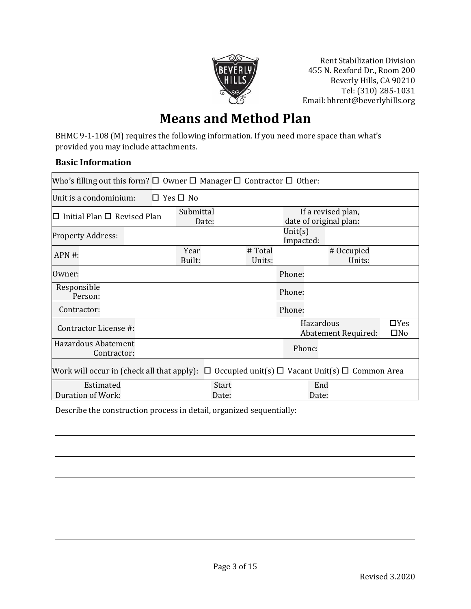

Rent Stabilization Division 455 N. Rexford Dr., Room 200 Beverly Hills, CA 90210 Tel: (310) 285-1031 Email: bhrent@beverlyhills.org

## **Means and Method Plan**

BHMC 9-1-108 (M) requires the following information. If you need more space than what's provided you may include attachments.

#### **Basic Information**

| Who's filling out this form? $\Box$ Owner $\Box$ Manager $\Box$ Contractor $\Box$ Other:                    |                                                                    |                   |              |                      |                            |
|-------------------------------------------------------------------------------------------------------------|--------------------------------------------------------------------|-------------------|--------------|----------------------|----------------------------|
| Unit is a condominium:                                                                                      | $\Box$ Yes $\Box$ No                                               |                   |              |                      |                            |
| Initial Plan $\Box$ Revised Plan<br>П                                                                       | Submittal<br>If a revised plan,<br>date of original plan:<br>Date: |                   |              |                      |                            |
| <b>Property Address:</b>                                                                                    | Unit $(s)$<br>Impacted:                                            |                   |              |                      |                            |
| $APN#$ :                                                                                                    | Year<br>Built:                                                     | # Total<br>Units: |              | # Occupied<br>Units: |                            |
| Owner:                                                                                                      |                                                                    |                   | Phone:       |                      |                            |
| Responsible<br>Person:                                                                                      |                                                                    |                   | Phone:       |                      |                            |
| Contractor:                                                                                                 |                                                                    |                   | Phone:       |                      |                            |
| Contractor License #:                                                                                       |                                                                    |                   | Hazardous    | Abatement Required:  | $\Box$ Yes<br>$\square$ No |
| Hazardous Abatement<br>Contractor:                                                                          |                                                                    |                   | Phone:       |                      |                            |
| Work will occur in (check all that apply): $\Box$ Occupied unit(s) $\Box$ Vacant Unit(s) $\Box$ Common Area |                                                                    |                   |              |                      |                            |
| Estimated<br>Duration of Work:                                                                              | <b>Start</b><br>Date:                                              |                   | End<br>Date: |                      |                            |

Describe the construction process in detail, organized sequentially: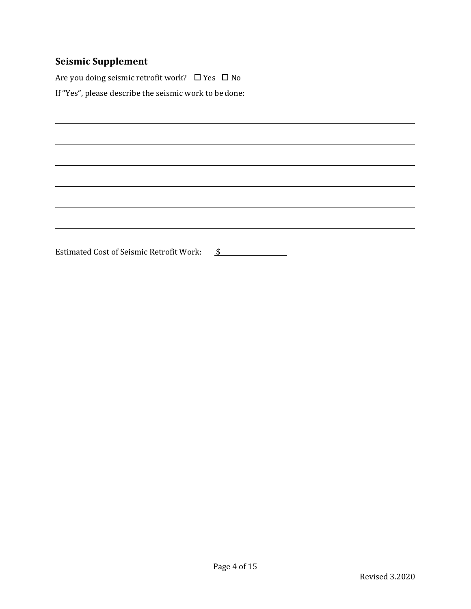## **Seismic Supplement**

Are you doing seismic retrofit work?  $\Box$  Yes  $\Box$  No If "Yes", please describe the seismic work to be done:

Estimated Cost of Seismic Retrofit Work: \$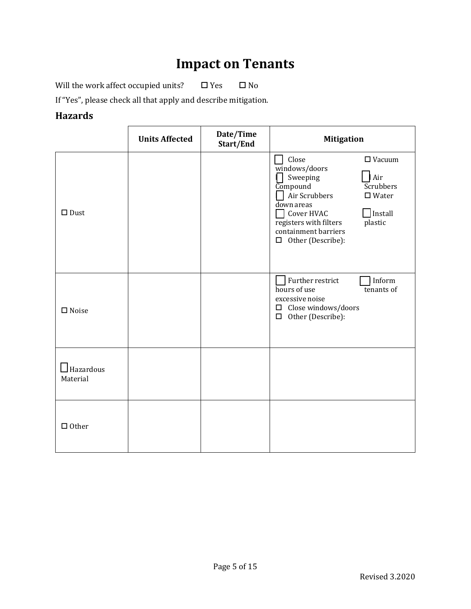# **Impact on Tenants**

Will the work affect occupied units?  $\Box$  Yes  $\Box$  No

If "Yes", please check all that apply and describe mitigation.

### **Hazards**

|                              | <b>Units Affected</b> | Date/Time<br>Start/End | <b>Mitigation</b>                                                                                                                                                                                                                                                               |
|------------------------------|-----------------------|------------------------|---------------------------------------------------------------------------------------------------------------------------------------------------------------------------------------------------------------------------------------------------------------------------------|
| $\square$ Dust               |                       |                        | Close<br>$\Box$ Vacuum<br>$\overline{\text{w}}$ indows/doors<br>Air<br>Sweeping<br>$Co$ mpound<br>Scrubbers<br>Air Scrubbers<br>$\square$ Water<br>down areas<br>Install<br>Cover HVAC<br>registers with filters<br>plastic<br>containment barriers<br>$\Box$ Other (Describe): |
| $\square$ Noise              |                       |                        | Further restrict<br>Inform<br>hours of use<br>tenants of<br>excessive noise<br>$\Box$ Close windows/doors<br>$\Box$<br>Other (Describe):                                                                                                                                        |
| $\Box$ Hazardous<br>Material |                       |                        |                                                                                                                                                                                                                                                                                 |
| $\Box$ Other                 |                       |                        |                                                                                                                                                                                                                                                                                 |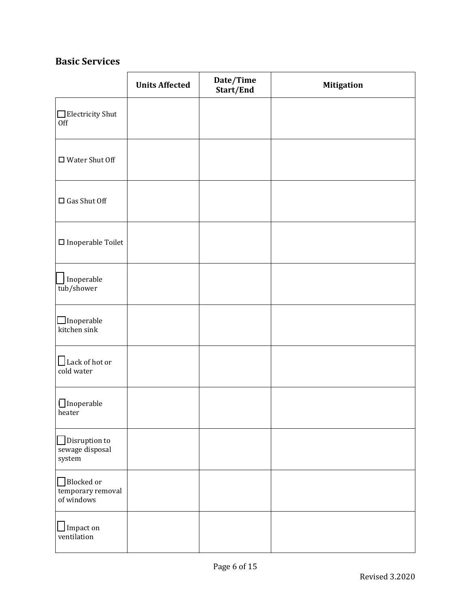### **Basic Services**

|                                                   | <b>Units Affected</b> | Date/Time<br>Start/End | <b>Mitigation</b> |
|---------------------------------------------------|-----------------------|------------------------|-------------------|
| $\Box$ Electricity Shut<br>Off                    |                       |                        |                   |
| $\Box$ Water Shut Off                             |                       |                        |                   |
| $\square$ Gas Shut Off                            |                       |                        |                   |
| $\hfill \square$ Inoperable Toilet                |                       |                        |                   |
| Inoperable<br>tub/shower                          |                       |                        |                   |
| $\Box$ Inoperable<br>kitchen sink                 |                       |                        |                   |
| $\Box$ Lack of hot or<br>cold water               |                       |                        |                   |
| $\Box$ Inoperable<br>heater                       |                       |                        |                   |
| $\Box$ Disruption to<br>sewage disposal<br>system |                       |                        |                   |
| Blocked or<br>temporary removal<br>of windows     |                       |                        |                   |
| $\bigsqcup$ Impact on<br>ventilation              |                       |                        |                   |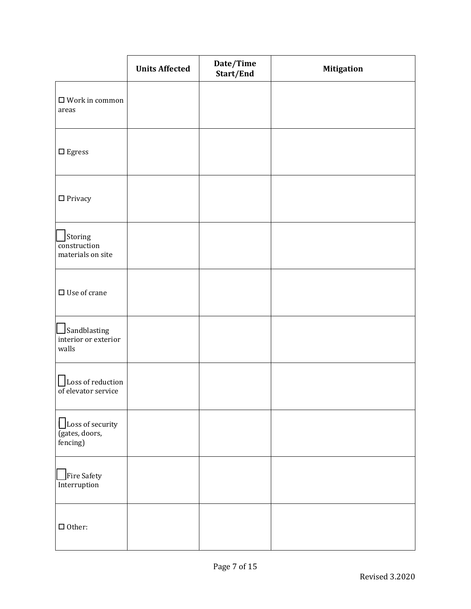|                                                       | <b>Units Affected</b> | Date/Time<br>Start/End | <b>Mitigation</b> |
|-------------------------------------------------------|-----------------------|------------------------|-------------------|
| $\Box$ Work in common<br>areas                        |                       |                        |                   |
| $\Box$<br>Egress                                      |                       |                        |                   |
| $\hfill\Box$<br>Privacy                               |                       |                        |                   |
| Storing<br>construction<br>materials on site          |                       |                        |                   |
| $\square$ Use of crane                                |                       |                        |                   |
| Sandblasting<br>interior or exterior<br>walls         |                       |                        |                   |
| Loss of reduction<br>$\overline{of}$ elevator service |                       |                        |                   |
| Loss of security<br>(gates, doors,<br>fencing)        |                       |                        |                   |
| Fire Safety<br>Interruption                           |                       |                        |                   |
| $\Box$ Other:                                         |                       |                        |                   |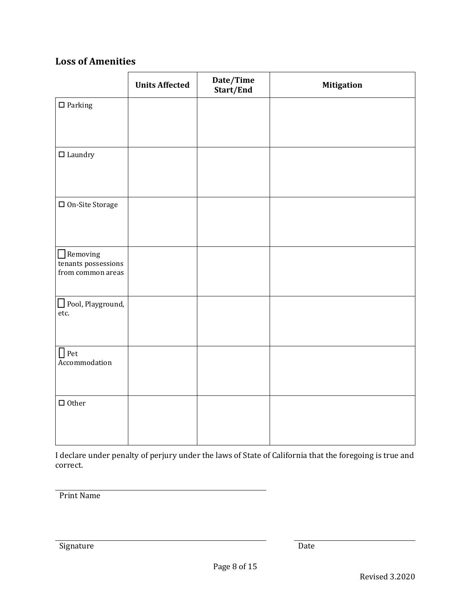## **Loss of Amenities**

|                                                             | <b>Units Affected</b> | Date/Time<br>Start/End | <b>Mitigation</b> |
|-------------------------------------------------------------|-----------------------|------------------------|-------------------|
| $\square$ Parking                                           |                       |                        |                   |
|                                                             |                       |                        |                   |
| $\hfill\Box$<br>Laundry                                     |                       |                        |                   |
|                                                             |                       |                        |                   |
| $\hfill\Box$<br><br>On-Site Storage                         |                       |                        |                   |
|                                                             |                       |                        |                   |
| $\Box$ Removing<br>tenants possessions<br>from common areas |                       |                        |                   |
|                                                             |                       |                        |                   |
| Pool, Playground,<br>etc.                                   |                       |                        |                   |
|                                                             |                       |                        |                   |
| $\Box$ Pet<br>Accommodation                                 |                       |                        |                   |
|                                                             |                       |                        |                   |
| $\Box$ Other                                                |                       |                        |                   |
|                                                             |                       |                        |                   |

I declare under penalty of perjury under the laws of State of California that the foregoing is true and correct.

Print Name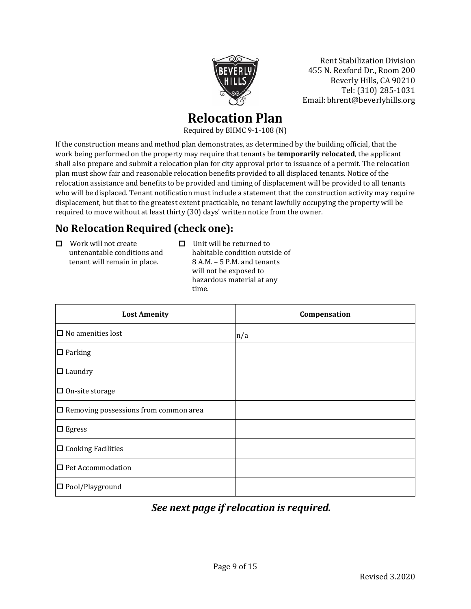

Rent Stabilization Division 455 N. Rexford Dr., Room 200 Beverly Hills, CA 90210 Tel: (310) 285-1031 Email: bhrent@beverlyhills.org

## **Relocation Plan**

Required by BHMC 9-1-108 (N)

If the construction means and method plan demonstrates, as determined by the building official, that the work being performed on the property may require that tenants be **temporarily relocated**, the applicant shall also prepare and submit a relocation plan for city approval prior to issuance of a permit. The relocation plan must show fair and reasonable relocation benefits provided to all displaced tenants. Notice of the relocation assistance and benefits to be provided and timing of displacement will be provided to all tenants who will be displaced. Tenant notification must include a statement that the construction activity may require displacement, but that to the greatest extent practicable, no tenant lawfully occupying the property will be required to move without at least thirty (30) days' written notice from the owner.

## **No Relocation Required (check one):**

- $\Box$  Work will not create untenantable conditions and tenant will remain in place.
- $\Box$  Unit will be returned to habitable condition outside of 8 A.M. – 5 P.M. and tenants will not be exposed to hazardous material at any time.

| <b>Lost Amenity</b>                          | Compensation |
|----------------------------------------------|--------------|
| $\Box$ No amenities lost                     | n/a          |
| $\square$ Parking                            |              |
| $\Box$ Laundry                               |              |
| $\Box$ On-site storage                       |              |
| $\Box$ Removing possessions from common area |              |
| $\square$ Egress                             |              |
| $\Box$ Cooking Facilities                    |              |
| $\Box$ Pet Accommodation                     |              |
| $\square$ Pool/Playground                    |              |

## *See next page if relocation is required.*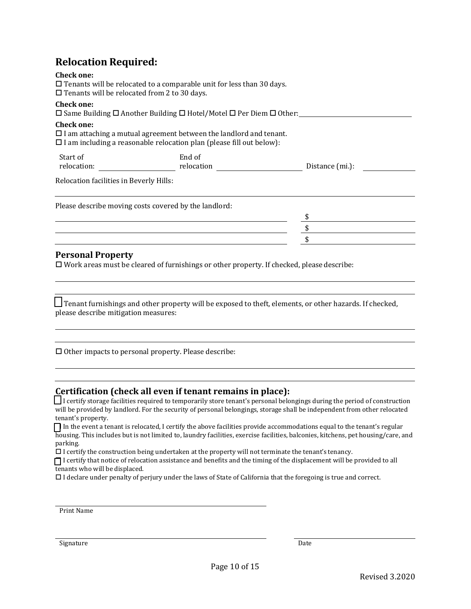### **Relocation Required:**

| 11010 <b>ca in</b> one 1104 and 0 an                                     |                                                                                                                                                             |                 |  |
|--------------------------------------------------------------------------|-------------------------------------------------------------------------------------------------------------------------------------------------------------|-----------------|--|
| <b>Check one:</b><br>$\Box$ Tenants will be relocated from 2 to 30 days. | $\Box$ Tenants will be relocated to a comparable unit for less than 30 days.                                                                                |                 |  |
| <b>Check one:</b>                                                        | $\square$ Same Building $\square$ Another Building $\square$ Hotel/Motel $\square$ Per Diem $\square$ Other:                                                |                 |  |
| <b>Check one:</b>                                                        | $\Box$ I am attaching a mutual agreement between the landlord and tenant.<br>$\square$ I am including a reasonable relocation plan (please fill out below): |                 |  |
| Start of<br>relocation:                                                  | End of<br>relocation                                                                                                                                        | Distance (mi.): |  |
| Relocation facilities in Beverly Hills:                                  |                                                                                                                                                             |                 |  |
|                                                                          | Please describe moving costs covered by the landlord:                                                                                                       |                 |  |
|                                                                          |                                                                                                                                                             |                 |  |
|                                                                          |                                                                                                                                                             |                 |  |
|                                                                          |                                                                                                                                                             |                 |  |

#### **Personal Property**

 $\square$  Work areas must be cleared of furnishings or other property. If checked, please describe:

 $\Box$  Tenant furnishings and other property will be exposed to theft, elements, or other hazards. If checked, please describe mitigation measures:

 $\Box$  Other impacts to personal property. Please describe:

#### **Certification (check all even if tenant remains in place):**

I certify storage facilities required to temporarily store tenant's personal belongings during the period of construction will be provided by landlord. For the security of personal belongings, storage shall be independent from other relocated tenant's property.

 In the event a tenant is relocated, I certify the above facilities provide accommodations equal to the tenant's regular housing. This includes but is not limited to, laundry facilities, exercise facilities, balconies, kitchens, pet housing/care, and parking.

 $\Box$  I certify the construction being undertaken at the property will not terminate the tenant's tenancy.

 $\Box$  I certify that notice of relocation assistance and benefits and the timing of the displacement will be provided to all tenants who will be displaced.

I declare under penalty of perjury under the laws of State of California that the foregoing is true and correct.

Print Name

Signature Date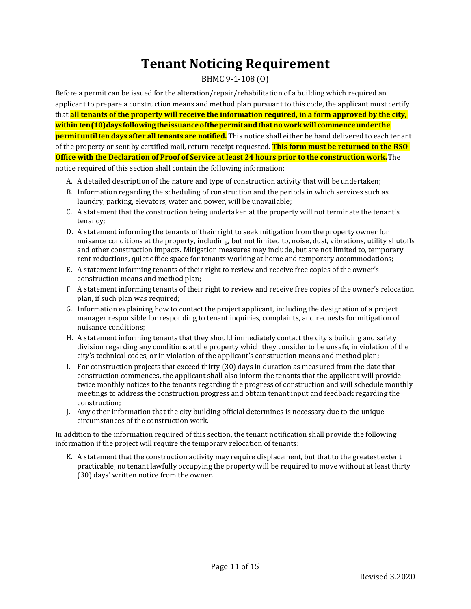# **Tenant Noticing Requirement**

#### BHMC 9-1-108 (O)

Before a permit can be issued for the alteration/repair/rehabilitation of a building which required an applicant to prepare a construction means and method plan pursuant to this code, the applicant must certify that **all tenants of the property will receive the information required, in a form approved by the city, within ten(10)daysfollowingtheissuanceofthepermitandthatnoworkwill commenceunder the permituntilten days after all tenants are notified.** This notice shall either be hand delivered to each tenant of the property or sent by certified mail, return receipt requested. **This form must be returned to the RSO Office with the Declaration of Proof of Service at least 24 hours prior to the construction work.**The

notice required of this section shall contain the following information:

- A. A detailed description of the nature and type of construction activity that will be undertaken;
- B. Information regarding the scheduling of construction and the periods in which services such as laundry, parking, elevators, water and power, will be unavailable;
- C. A statement that the construction being undertaken at the property will not terminate the tenant's tenancy;
- D. A statement informing the tenants of their right to seek mitigation from the property owner for nuisance conditions at the property, including, but not limited to, noise, dust, vibrations, utility shutoffs and other construction impacts. Mitigation measures may include, but are not limited to, temporary rent reductions, quiet office space for tenants working at home and temporary accommodations;
- E. A statement informing tenants of their right to review and receive free copies of the owner's construction means and method plan;
- F. A statement informing tenants of their right to review and receive free copies of the owner's relocation plan, if such plan was required;
- G. Information explaining how to contact the project applicant, including the designation of a project manager responsible for responding to tenant inquiries, complaints, and requests for mitigation of nuisance conditions;
- H. A statement informing tenants that they should immediately contact the city's building and safety division regarding any conditions at the property which they consider to be unsafe, in violation of the city's technical codes, or in violation of the applicant's construction means and method plan;
- I. For construction projects that exceed thirty (30) days in duration as measured from the date that construction commences, the applicant shall also inform the tenants that the applicant will provide twice monthly notices to the tenants regarding the progress of construction and will schedule monthly meetings to address the construction progress and obtain tenant input and feedback regarding the construction;
- J. Any other information that the city building official determines is necessary due to the unique circumstances of the construction work.

In addition to the information required of this section, the tenant notification shall provide the following information if the project will require the temporary relocation of tenants:

K. A statement that the construction activity may require displacement, but that to the greatest extent practicable, no tenant lawfully occupying the property will be required to move without at least thirty (30) days' written notice from the owner.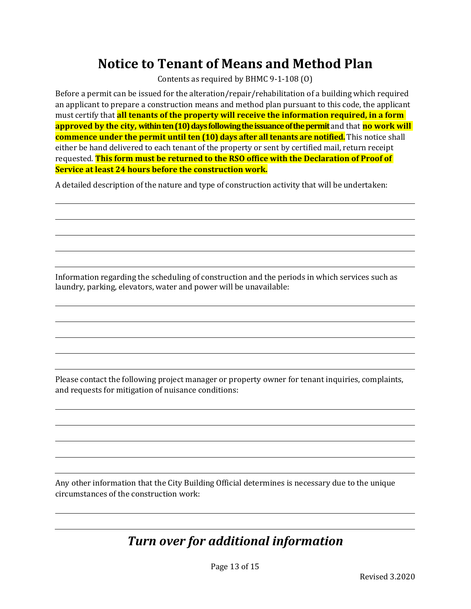# **Notice to Tenant of Means and Method Plan**

Contents as required by BHMC 9-1-108 (O)

Before a permit can be issued for the alteration/repair/rehabilitation of a building which required an applicant to prepare a construction means and method plan pursuant to this code, the applicant must certify that **all tenants of the property will receive the information required, in a form approved by the city, within ten (10) days following the issuance of the permit** and that **no** work will **commence under the permit until ten (10) days after all tenants are notified.** This notice shall either be hand delivered to each tenant of the property or sent by certified mail, return receipt requested. **This form must be returned to the RSO office with the Declaration of Proof of Service at least 24 hours before the construction work.**

A detailed description of the nature and type of construction activity that will be undertaken:

Information regarding the scheduling of construction and the periods in which services such as laundry, parking, elevators, water and power will be unavailable:

Please contact the following project manager or property owner for tenant inquiries, complaints, and requests for mitigation of nuisance conditions:

Any other information that the City Building Official determines is necessary due to the unique circumstances of the construction work:

# *Turn over for additional information*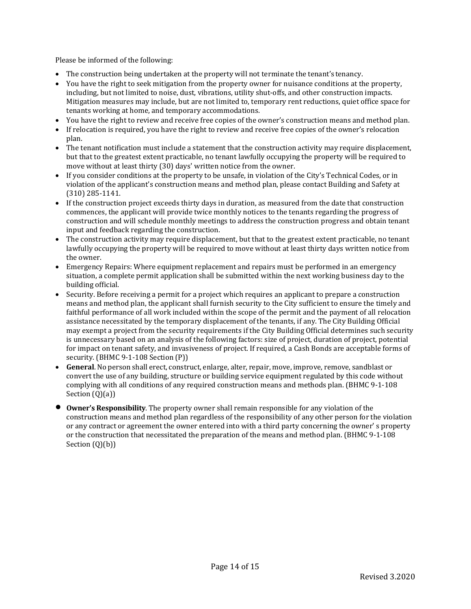Please be informed of the following:

- The construction being undertaken at the property will not terminate the tenant's tenancy.
- You have the right to seek mitigation from the property owner for nuisance conditions at the property, including, but not limited to noise, dust, vibrations, utility shut-offs, and other construction impacts. Mitigation measures may include, but are not limited to, temporary rent reductions, quiet office space for tenants working at home, and temporary accommodations.
- You have the right to review and receive free copies of the owner's construction means and method plan.
- If relocation is required, you have the right to review and receive free copies of the owner's relocation plan.
- The tenant notification must include a statement that the construction activity may require displacement, but that to the greatest extent practicable, no tenant lawfully occupying the property will be required to move without at least thirty (30) days' written notice from the owner.
- If you consider conditions at the property to be unsafe, in violation of the City's Technical Codes, or in violation of the applicant's construction means and method plan, please contact Building and Safety at (310) 285-1141.
- If the construction project exceeds thirty days in duration, as measured from the date that construction commences, the applicant will provide twice monthly notices to the tenants regarding the progress of construction and will schedule monthly meetings to address the construction progress and obtain tenant input and feedback regarding the construction.
- The construction activity may require displacement, but that to the greatest extent practicable, no tenant lawfully occupying the property will be required to move without at least thirty days written notice from the owner.
- Emergency Repairs: Where equipment replacement and repairs must be performed in an emergency situation, a complete permit application shall be submitted within the next working business day to the building official.
- Security. Before receiving a permit for a project which requires an applicant to prepare a construction means and method plan, the applicant shall furnish security to the City sufficient to ensure the timely and faithful performance of all work included within the scope of the permit and the payment of all relocation assistance necessitated by the temporary displacement of the tenants, if any. The City Building Official may exempt a project from the security requirements if the City Building Official determines such security is unnecessary based on an analysis of the following factors: size of project, duration of project, potential for impact on tenant safety, and invasiveness of project. If required, a Cash Bonds are acceptable forms of security. (BHMC 9-1-108 Section (P))
- **General**. No person shall erect, construct, enlarge, alter, repair, move, improve, remove, sandblast or convert the use of any building, structure or building service equipment regulated by this code without complying with all conditions of any required construction means and methods plan. (BHMC 9-1-108 Section (Q)(a))
- **Owner's Responsibility**. The property owner shall remain responsible for any violation of the construction means and method plan regardless of the responsibility of any other person for the violation or any contract or agreement the owner entered into with a third party concerning the owner' s property or the construction that necessitated the preparation of the means and method plan. (BHMC 9-1-108 Section (Q)(b))